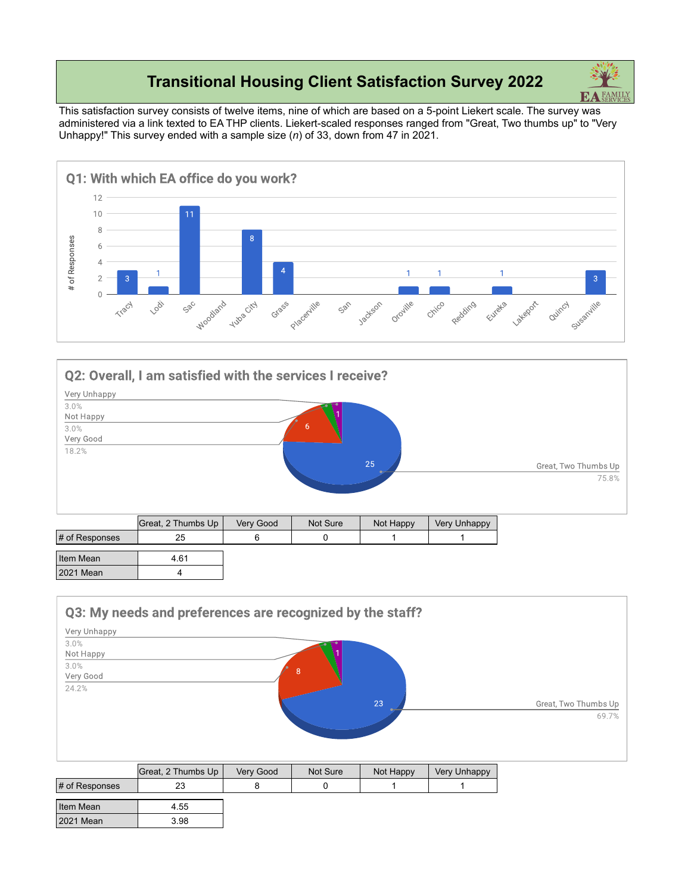## **Transitional Housing Client Satisfaction Survey 2022**

This satisfaction survey consists of twelve items, nine of which are based on a 5-point Liekert scale. The survey was administered via a link texted to EA THP clients. Liekert-scaled responses ranged from "Great, Two thumbs up" to "Very Unhappy!" This survey ended with a sample size (*n*) of 33, down from 47 in 2021.





|                | Great, 2 Thumbs Up | Very Good | Not Sure | Not Happy | <b>Very Unhappy</b> |
|----------------|--------------------|-----------|----------|-----------|---------------------|
| # of Responses | 25                 |           |          |           |                     |
| Item Mean      | 4.61               |           |          |           |                     |
| 2021 Mean      |                    |           |          |           |                     |

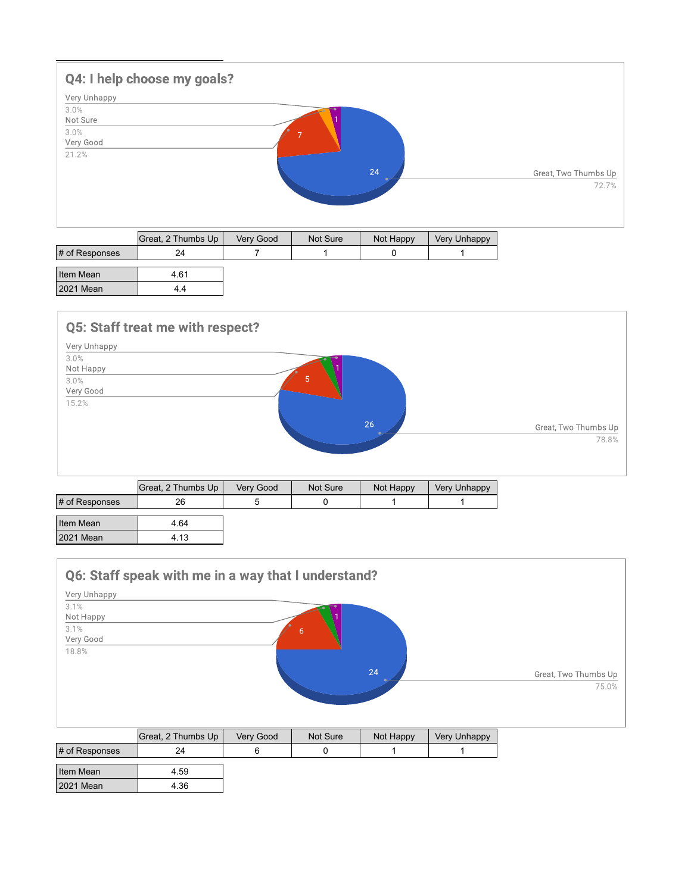

|                | Great, 2 Thumbs Up | Very Good | Not Sure | Not Happy | Very Unhappy |
|----------------|--------------------|-----------|----------|-----------|--------------|
| # of Responses | 24                 |           |          |           |              |
| Item Mean      | 4.61               |           |          |           |              |
|                |                    |           |          |           |              |
| 2021 Mean      | 4.4                |           |          |           |              |



|                | Great, 2 Thumbs Up | Very Good | Not Sure | Not Happy | Very Unhappy |
|----------------|--------------------|-----------|----------|-----------|--------------|
| # of Responses | 26                 |           |          |           |              |
| Item Mean      | 4.64               |           |          |           |              |
| 2021 Mean      | 4.13               |           |          |           |              |

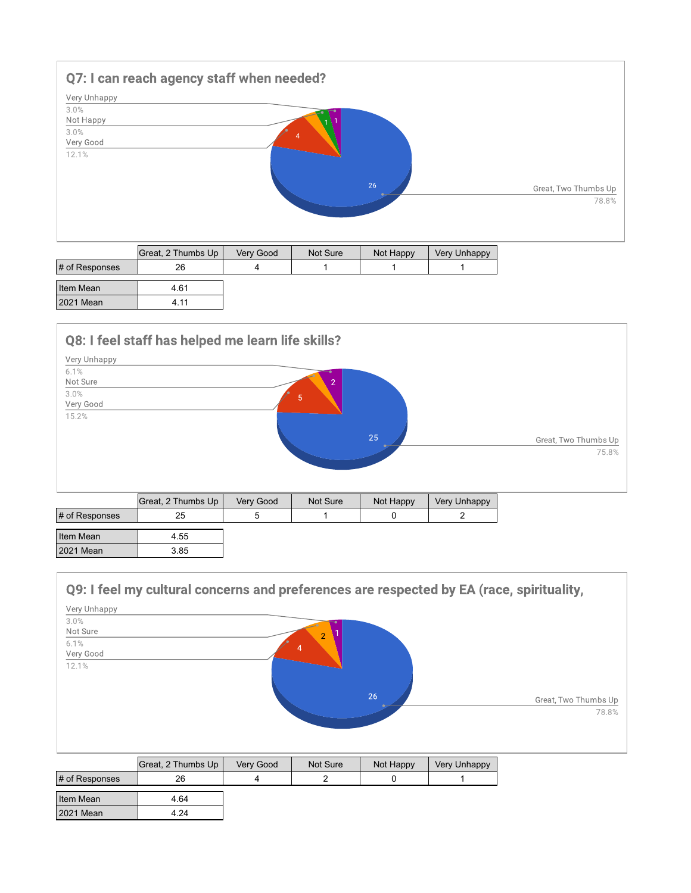

| # of Responses | 26   |  |  |
|----------------|------|--|--|
| Item Mean      | 4.61 |  |  |
| 2021 Mean      | 4.11 |  |  |



|                | Great, 2 Thumbs Up | Very Good | Not Sure | Not Happy | Very Unhappy |
|----------------|--------------------|-----------|----------|-----------|--------------|
| # of Responses | 25                 |           |          |           |              |
|                |                    |           |          |           |              |
| Item Mean      | 4.55               |           |          |           |              |
| 2021 Mean      | 3.85               |           |          |           |              |

## Q9: I feel my cultural concerns and preferences are respected by EA (race, spirituality,

| Very Unhappy |                |                      |
|--------------|----------------|----------------------|
| 3.0%         |                |                      |
| Not Sure     | $\overline{2}$ |                      |
| 6.1%         | $\overline{4}$ |                      |
| Very Good    |                |                      |
| 12.1%        |                |                      |
|              |                |                      |
|              |                |                      |
|              | 26             | Great, Two Thumbs Up |
|              |                | 78.8%                |
|              |                |                      |
|              |                |                      |

|                | Great, 2 Thumbs Up | Very Good | Not Sure | Not Happy | <b>Very Unhappy</b> |
|----------------|--------------------|-----------|----------|-----------|---------------------|
| # of Responses | 26                 |           |          |           |                     |
| Item Mean      | 4.64               |           |          |           |                     |
| 2021 Mean      | 4.24               |           |          |           |                     |